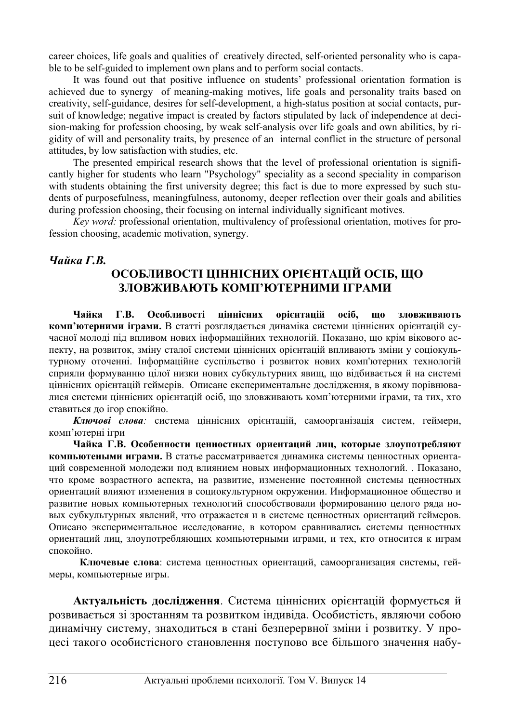career choices, life goals and qualities of creatively directed, self-oriented personality who is capable to be self-guided to implement own plans and to perform social contacts.

It was found out that positive influence on students' professional orientation formation is achieved due to synergy of meaning-making motives, life goals and personality traits based on creativity, self-guidance, desires for self-development, a high-status position at social contacts, pursuit of knowledge; negative impact is created by factors stipulated by lack of independence at decision-making for profession choosing, by weak self-analysis over life goals and own abilities, by rigidity of will and personality traits, by presence of an internal conflict in the structure of personal attitudes, by low satisfaction with studies, etc.

The presented empirical research shows that the level of professional orientation is significantly higher for students who learn "Psychology" speciality as a second speciality in comparison with students obtaining the first university degree; this fact is due to more expressed by such students of purposefulness, meaningfulness, autonomy, deeper reflection over their goals and abilities during profession choosing, their focusing on internal individually significant motives.

*Key word:* professional orientation, multivalency of professional orientation, motives for profession choosing, academic motivation, synergy.

#### *<u>Uαŭκα Γ.Β.</u>*

# **ɈɋɈȻɅɂȼɈɋɌȱ ɐȱɇɇȱɋɇɂɏ ɈɊȱȯɇɌȺɐȱɃ ɈɋȱȻ, ɓɈ** ЗЛОВЖИВАЮТЬ КОМП'ЮТЕРНИМИ ІГРАМИ

Чайка Г.В. Особливості ціннісних орієнтацій осіб, що зловживають **комп'ютерними іграми.** В статті розглядається динаміка системи ціннісних орієнтацій сучасної молоді під впливом нових інформаційних технологій. Показано, що крім вікового аспекту, на розвиток, зміну сталої системи ціннісних орієнтацій впливають зміни у соціокультурному оточенні. Інформаційне суспільство і розвиток нових комп'ютерних технологій сприяли формуванню цілої низки нових субкультурних явищ, що відбивається й на системі ціннісних орієнтацій геймерів. Описане експериментальне дослідження, в якому порівнювалися системи ціннісних орієнтацій осіб, що зловживають комп'ютерними іграми, та тих, хто ставиться до irop спокійно.

Ключові слова: система ціннісних орієнтацій, самоорганізація систем, геймери, комп'ютерні ігри

Чайка Г.В. Особенности ценностных ориентаций лиц, которые злоупотребляют компьютеными играми. В статье рассматривается динамика системы ценностных ориентаций современной молодежи под влиянием новых информационных технологий. . Показано, что кроме возрастного аспекта, на развитие, изменение постоянной системы ценностных ориентаций влияют изменения в социокультурном окружении. Информационное общество и развитие новых компьютерных технологий способствовали формированию целого ряда новых субкультурных явлений, что отражается и в системе ценностных ориентаций геймеров. Описано экспериментальное исследование, в котором сравнивались системы ценностных ориентаций лиц, злоупотребляющих компьютерными играми, и тех, кто относится к играм  $\overline{\text{c}}$ <sub>τ</sub>  $\overline{\text{c}}$ 

Ключевые слова: система ценностных ориентаций, самоорганизация системы, геймеры, компьютерные игры.

Актуальність дослідження. Система ціннісних орієнтацій формується й розвивається зі зростанням та розвитком індивіда. Особистість, являючи собою динамічну систему, знаходиться в стані безперервної зміни і розвитку. У процесі такого особистісного становлення поступово все більшого значення набу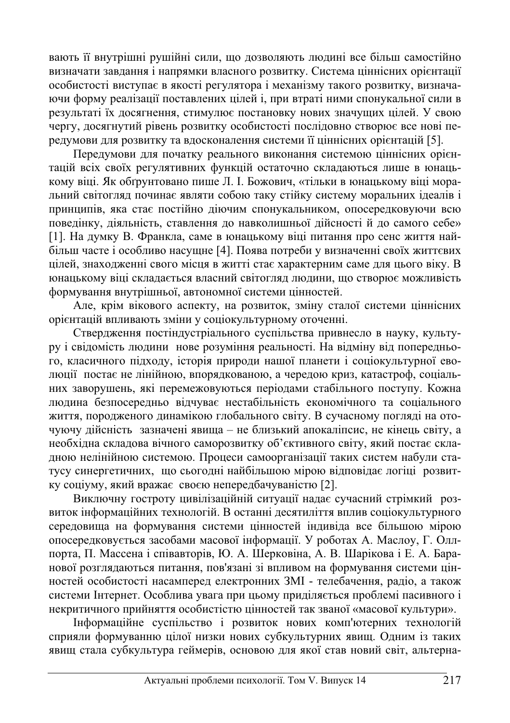вають її внутрішні рушійні сили, що дозволяють людині все більш самостійно визначати завдання і напрямки власного розвитку. Система ціннісних орієнтації особистості виступає в якості регулятора і механізму такого розвитку, визначаючи форму реалізації поставлених цілей і, при втраті ними спонукальної сили в результаті їх досягнення, стимулює постановку нових значущих цілей. У свою ɱɟɪɝɭ, ɞɨɫɹɝɧɭɬɢɣ ɪɿɜɟɧɶ ɪɨɡɜɢɬɤɭ ɨɫɨɛɢɫɬɨɫɬɿ ɩɨɫɥɿɞɨɜɧɨ ɫɬɜɨɪɸɽ ɜɫɟ ɧɨɜɿ ɩɟредумови для розвитку та вдосконалення системи її ціннісних орієнтацій [5].

Передумови для початку реального виконання системою ціннісних орієнтацій всіх своїх регулятивних функцій остаточно складаються лише в юнацькому віці. Як обґрунтовано пише Л. І. Божович, «тільки в юнацькому віці моральний світогляд починає являти собою таку стійку систему моральних ідеалів і принципів, яка стає постійно діючим спонукальником, опосередковуючи всю поведінку, діяльність, ставлення до навколишньої дійсності й до самого себе» [1]. На думку В. Франкла, саме в юнацькому віці питання про сенс життя най**більш часте і особливо насущне [4]. Поява потреби у визначенні своїх життєвих** цілей, знаходженні свого місця в житті стає характерним саме для цього віку. В юнацькому віці складається власний світогляд людини, що створює можливість формування внутрішньої, автономної системи цінностей.

Але, крім вікового аспекту, на розвиток, зміну сталої системи ціннісних орієнтацій впливають зміни у соціокультурному оточенні.

Ствердження постіндуєтріального суспільства привнесло в науку, культуру і свідомість людини нове розуміння реальності. На відміну від попередньоiо, класичного підходу, історія природи нашої планети і соціокультурної еволюції постає не лінійною, впорядкованою, а чередою криз, катастроф, соціальних заворушень, які перемежовуються періодами стабільного поступу. Кожна людина безпосередньо відчуває нестабільність економічного та соціального життя, породженого динамікою глобального світу. В сучасному погляді на оточуючу дійсність зазначені явища – не близький апокаліпсис, не кінець світу, а необхідна складова вічного саморозвитку об'єктивного світу, який постає складною нелінійною системою. Процеси самоорганізації таких систем набули статусу синергетичних, що сьогодні найбільшою мірою відповідає логіці розвитку соціуму, який вражає своєю непередбачуваністю [2].

Виключну гостроту цивілізаційній ситуації надає сучасний стрімкий розвиток інформаційних технологій. В останні десятиліття вплив соціокультурного середовища на формування системи цінностей індивіда все більшою мірою опосередковується засобами масової інформації. У роботах А. Маслоу, Г. Оллпорта, П. Массена і співавторів, Ю. А. Шерковіна, А. В. Шарікова і Е. А. Баранової розглядаються питання, пов'язані зі впливом на формування системи цінностей особистості насамперед електронних ЗМІ - телебачення, радіо, а також системи Інтернет. Особлива увага при цьому приділяється проблемі пасивного і некритичного прийняття особистістю цінностей так званої «масової культури».

Iнформаційне суспільство і розвиток нових комп'ютерних технологій сприяли формуванню цілої низки нових субкультурних явищ. Одним із таких явищ стала субкультура геймерів, основою для якої став новий світ, альтерна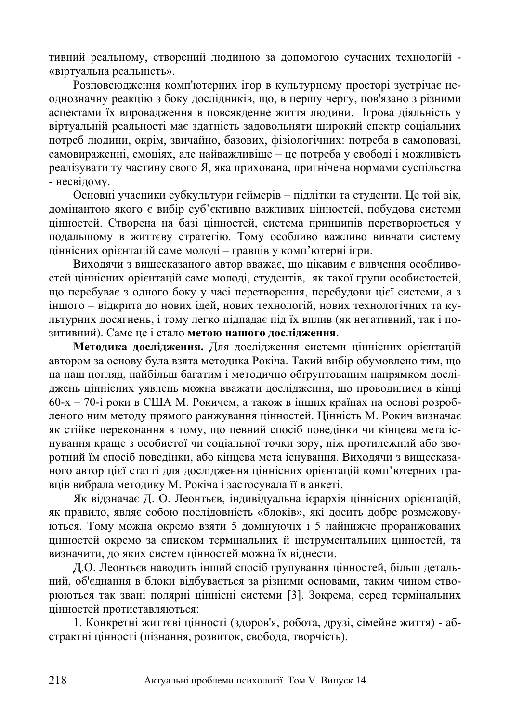тивний реальному, створений людиною за допомогою сучасних технологій -«віртуальна реальність».

.<br>Розповсюлження комп'ютерних ігор в культурному просторі зустрічає неоднозначну реакцію з боку дослідників, що, в першу чергу, пов'язано з різними аспектами їх впровадження в повсякденне життя людини. Ігрова діяльність у віртуальній реальності має здатність задовольняти широкий спектр соціальних потреб людини, окрім, звичайно, базових, фізіологічних: потреба в самоповазі, самовираженні, емоціях, але найважливіше – це потреба у свободі і можливість реалізувати ту частину свого Я, яка прихована, пригнічена нормами суспільства - несвілому.

Основні учасники субкультури геймерів – підлітки та студенти. Це той вік, домінантою якого є вибір суб'єктивно важливих цінностей, побудова системи цінностей. Створена на базі цінностей, система принципів перетворюється у подальшому в життєву стратегію. Тому особливо важливо вивчати систему ціннісних орієнтацій саме молоді – гравців у комп'ютерні ігри.

Виходячи з вищесказаного автор вважає, що цікавим є вивчення особливостей ціннісних орієнтацій саме молоді, студентів, як такої групи особистостей, що перебуває з одного боку у часі перетворення, перебудови цієї системи, а з іншого – відкрита до нових ідей, нових технологій, нових технологічних та культурних лосягнень, і тому легко пілпалає піл їх вплив (як негативний, так і позитивний). Саме це і стало метою нашого дослідження.

Методика дослідження для дослідження системи ціннісних орієнтацій автором за основу була взята методика Рокіча. Такий вибір обумовлено тим, що на наш погляд, найбільш багатим і методично обґрунтованим напрямком досліджень ціннісних уявлень можна вважати дослідження, що проводилися в кінці  $60-x - 70$ -і роки в США М. Рокичем, а також в інших країнах на основі розробленого ним методу прямого ранжування цінностей. Цінність М. Рокич визначає як стійке переконання в тому, що певний спосіб поведінки чи кінцева мета існування краще з особистої чи соціальної точки зору, ніж протилежний або зворотний їм спосіб поведінки, або кінцева мета існування. Виходячи з вищесказаного автор цієї статті для дослідження ціннісних орієнтацій комп'ютерних гравців вибрала методику М. Рокіча і застосувала її в анкеті.

Як відзначає Д. О. Леонтьєв, індивідуальна ієрархія ціннісних орієнтацій, як правило, являє собою послідовність «блоків», які досить добре розмежовуються. Тому можна окремо взяти 5 домінуючіх і 5 найнижче проранжованих цінностей окремо за списком термінальних й інструментальних цінностей, та визначити, ло яких систем пінностей можна їх вілнести.

Д.О. Леонтьєв наводить інший спосіб групування цінностей, більш детальний, об'єднання в блоки відбувається за різними основами, таким чином створюються так звані полярні ціннісні системи [3]. Зокрема, серед термінальних цінностей протиставляються:

1. Конкретні життєві цінності (здоров'я, робота, друзі, сімейне життя) - абстрактні цінності (пізнання, розвиток, свобода, творчість).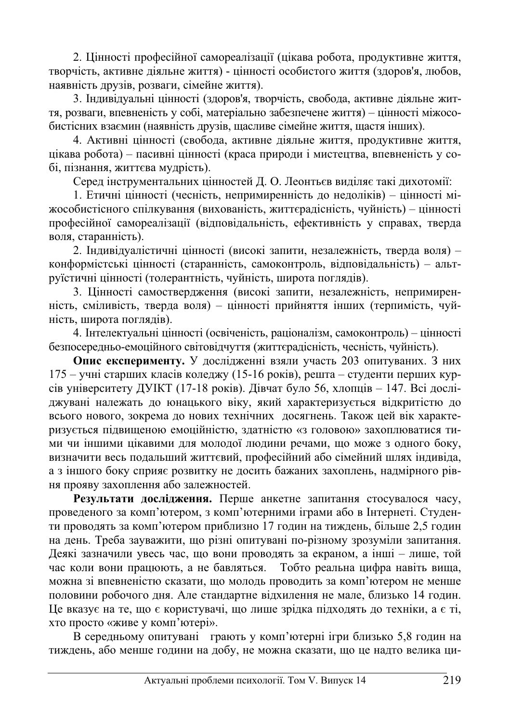2. Цінності професійної самореалізації (цікава робота, продуктивне життя, творчість, активне діяльне життя) - цінності особистого життя (здоров'я, любов, наявність друзів, розваги, сімейне життя).

3. Індивідуальні цінності (здоров'я, творчість, свобода, активне діяльне життя, розваги, впевненість у собі, матеріально забезпечене життя) – цінності міжособистісних взаємин (наявність друзів, щасливе сімейне життя, щастя інших).

4. Активні цінності (свобода, активне діяльне життя, продуктивне життя, цікава робота) – пасивні цінності (краса природи і мистецтва, впевненість у собі, пізнання, життєва мудрість).

Серел інструментальних цінностей Д. О. Леонтьєв виліляє такі лихотомії:

1. Етичні цінності (чесність, непримиренність до недоліків) – цінності міжособистісного спілкування (вихованість, життєрадісність, чуйність) – цінності професійної самореалізації (відповідальність, ефективність у справах, тверда воля, старанність).

2. Індивідуалістичні цінності (високі запити, незалежність, тверда воля) – конформістські цінності (старанність, самоконтроль, відповідальність) – альтруїстичні цінності (толерантність, чуйність, широта поглядів).

3. Цінності самоствердження (високі запити, незалежність, непримиренність, сміливість, тверда воля) – цінності прийняття інших (терпимість, чуйність, широта поглялів).

4. Інтелектуальні цінності (освіченість, раціоналізм, самоконтроль) – цінності безпосередньо-емоційного світовідчуття (життєрадісність, чесність, чуйність).

**Опис експерименту.** У дослідженні взяли участь 203 опитуваних. З них  $175 -$  учні старших класів коледжу (15-16 років), решта – студенти перших курciв університету ДУІКТ (17-18 років). Дівчат було 56, хлопців – 147. Всі досліджувані належать до юнацького віку, який характеризується відкритістю до всього нового, зокрема до нових технічних досягнень. Також цей вік характеризується підвищеною емоційністю, здатністю «з головою» захоплюватися тими чи іншими цікавими для молодої людини речами, що може з одного боку, визначити весь подальший життєвий, професійний або сімейний шлях індивіда, а з іншого боку сприяє розвитку не досить бажаних захоплень, надмірного рівня прояву захоплення або залежностей.

**Результати дослідження.** Перше анкетне запитання стосувалося часу, проведеного за комп'ютером, з комп'ютерними іграми або в Інтернеті. Студенти проводять за комп'ютером приблизно 17 годин на тиждень, більше 2,5 годин на день. Треба зауважити, що різні опитувані по-різному зрозуміли запитання. Деякі зазначили увесь час, що вони проводять за екраном, а інші - лише, той час коли вони працюють, а не бавляться. Тобто реальна цифра навіть вища, можна зі впевненістю сказати, що молодь проводить за комп'ютером не менше половини робочого дня. Але стандартне відхилення не мале, близько 14 годин. Це вказує на те, що є користувачі, що лише зрідка підходять до техніки, а є ті, хто просто «живе у комп'ютері».

В середньому опитувані грають у комп'ютерні ігри близько 5,8 годин на тиждень, або менше години на добу, не можна сказати, що це надто велика ци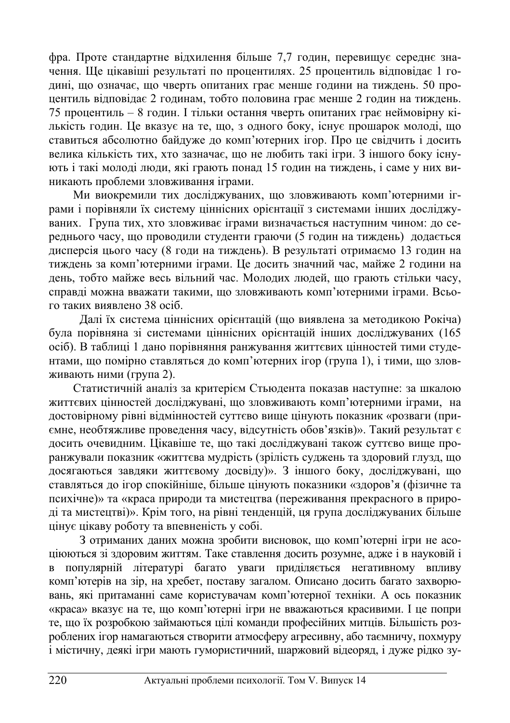фра. Проте стандартне відхилення більше 7,7 годин, перевищує середнє значення. Ще цікавіші результаті по процентилях. 25 процентиль відповідає 1 годині, що означає, що чверть опитаних грає менше години на тиждень. 50 процентиль відповідає 2 годинам, тобто половина грає менше 2 годин на тиждень. 75 процентиль – 8 годин. І тільки остання чверть опитаних грає неймовірну кількість годин. Це вказує на те, що, з одного боку, існує прошарок молоді, що ставиться абсолютно байдуже до комп'ютерних iгор. Про це свідчить і досить велика кількість тих, хто зазначає, що не любить такі ігри. З іншого боку існують і такі молоді люди, які грають понад 15 годин на тиждень, і саме у них виникають проблеми зловживання іграми.

Ми виокремили тих досліджуваних, що зловживають комп'ютерними іграми і порівняли їх систему ціннісних орієнтації з системами інших досліджуваних. Група тих, хто зловживає іграми визначається наступним чином: до середнього часу, що проводили студенти граючи (5 годин на тиждень) додається дисперсія цього часу (8 годи на тиждень). В результаті отримаємо 13 годин на тиждень за комп'ютерними іграми. Це досить значний час, майже 2 години на день, тобто майже весь вільний час. Молодих людей, що грають стільки часу, справді можна вважати такими, що зловживають комп'ютерними іграми. Всього таких виявлено 38 осіб.

Далі їх система ціннісних орієнтацій (що виявлена за методикою Рокіча) була порівняна зі системами ціннісних орієнтацій інших досліджуваних (165 осіб). В таблиці 1 дано порівняння ранжування життєвих цінностей тими студентами, що помірно ставляться до комп'ютерних ігор (група 1), і тими, що зловживають ними (група 2).

Статистичній аналіз за критерієм Стьюдента показав наступне: за шкалою життєвих цінностей досліджувані, що зловживають комп'ютерними іграми, на достовірному рівні відмінностей суттєво вище цінують показник «розваги (приємне, необтяжливе проведення часу, відсутність обов'язків)». Такий результат є досить очевидним. Цікавіше те, що такі досліджувані також суттєво вище проранжували показник «життєва мудрість (зрілість суджень та здоровий глузд, що досягаються завдяки життєвому досвіду)». З іншого боку, досліджувані, що ставляться до iгор спокійніше, більше цінують показники «здоров'я (фізичне та психічне)» та «краса природи та мистецтва (переживання прекрасного в природі та мистецтві)». Крім того, на рівні тенденцій, ця група досліджуваних більше цінує цікаву роботу та впевненість у собі.

3 отриманих даних можна зробити висновок, що комп'ютерні ігри не асоціюються зі здоровим життям. Таке ставлення досить розумне, адже і в науковій і в популярній літературі багато уваги приділяється негативному впливу комп'ютерів на зір, на хребет, поставу загалом. Описано досить багато захворювань, які притаманні саме користувачам комп'ютерної техніки. А ось показник «краса» вказує на те, що комп'ютерні ігри не вважаються красивими. І це попри те, що їх розробкою займаються цілі команди професійних митців. Більшість розроблених ігор намагаються створити атмосферу агресивну, або таємничу, похмуру i мiстичну, деякі iгри мають гумористичний, шаржовий відеоряд, i дуже рідко зу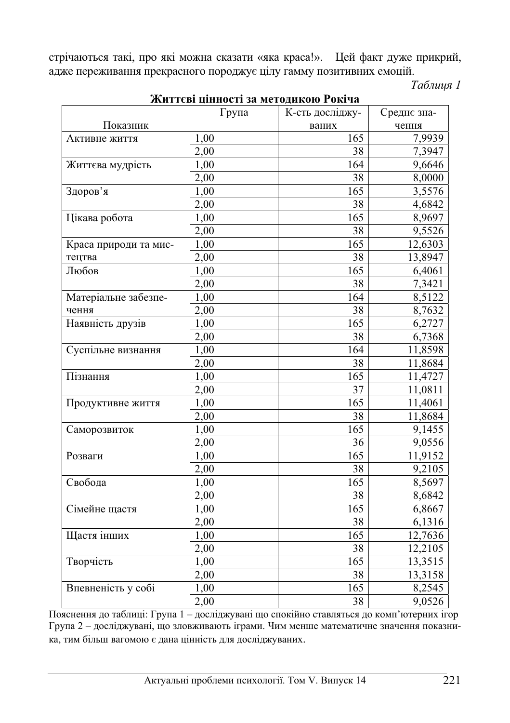стрічаються такі, про які можна сказати «яка краса!». Цей факт дуже прикрий, адже переживання прекрасного породжує цілу гамму позитивних емоцій.

*Ɍɚɛɥɢɰɹ 1* 

|                       | Група | К-сть досліджу- | Среднє зна- |
|-----------------------|-------|-----------------|-------------|
| Показник              |       | ваних           | чення       |
| Активне життя         | 1,00  | 165             | 7,9939      |
|                       | 2,00  | 38              | 7,3947      |
| Життєва мудрість      | 1,00  | 164             | 9,6646      |
|                       | 2,00  | 38              | 8,0000      |
| Здоров'я              | 1,00  | 165             | 3,5576      |
|                       | 2,00  | 38              | 4,6842      |
| Цікава робота         | 1,00  | 165             | 8,9697      |
|                       | 2,00  | 38              | 9,5526      |
| Краса природи та мис- | 1,00  | 165             | 12,6303     |
| тецтва                | 2,00  | 38              | 13,8947     |
| Любов                 | 1,00  | 165             | 6,4061      |
|                       | 2,00  | 38              | 7,3421      |
| Матеріальне забезпе-  | 1,00  | 164             | 8,5122      |
| чення                 | 2,00  | 38              | 8,7632      |
| Наявність друзів      | 1,00  | 165             | 6,2727      |
|                       | 2,00  | 38              | 6,7368      |
| Суспільне визнання    | 1,00  | 164             | 11,8598     |
|                       | 2,00  | 38              | 11,8684     |
| Пізнання              | 1,00  | 165             | 11,4727     |
|                       | 2,00  | 37              | 11,0811     |
| Продуктивне життя     | 1,00  | 165             | 11,4061     |
|                       | 2,00  | 38              | 11,8684     |
| Саморозвиток          | 1.00  | 165             | 9,1455      |
|                       | 2,00  | 36              | 9,0556      |
| Розваги               | 1,00  | 165             | 11,9152     |
|                       | 2,00  | 38              | 9,2105      |
| Свобода               | 1,00  | 165             | 8,5697      |
|                       | 2,00  | 38              | 8,6842      |
| Сімейне щастя         | 1,00  | 165             | 6,8667      |
|                       | 2,00  | 38              | 6,1316      |
| Щастя інших           | 1,00  | 165             | 12,7636     |
|                       | 2,00  | 38              | 12,2105     |
| Творчість             | 1,00  | 165             | 13,3515     |
|                       | 2,00  | 38              | 13,3158     |
| Впевненість у собі    | 1,00  | 165             | 8,2545      |
|                       | 2,00  | 38              | 9,0526      |

# Життєві пінності за метоликою Рокіча

Пояснення до таблиці: Група 1 – досліджувані що спокійно ставляться до комп'ютерних ігор Група 2 – досліджувані, що зловживають іграми. Чим менше математичне значення показника, тим більш вагомою є дана цінність для досліджуваних.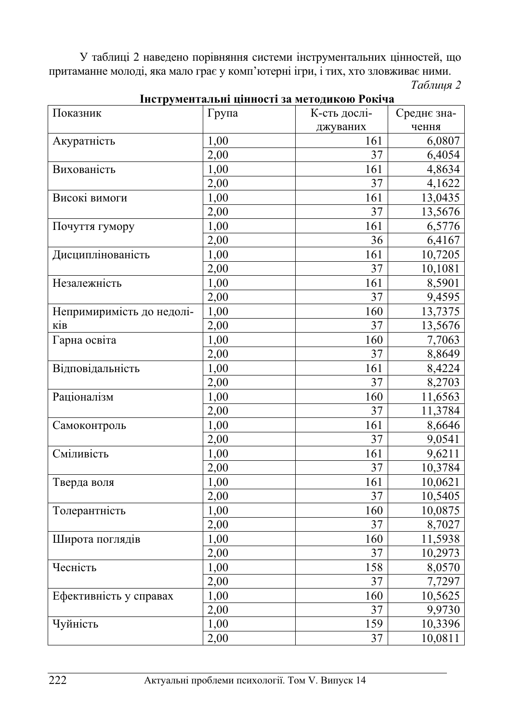У таблиці 2 наведено порівняння системи інструментальних цінностей, що притаманне молоді, яка мало грає у комп'ютерні ігри, і тих, хто зловживає ними. *Ɍɚɛɥɢɰɹ 2* 

| інструментальні цінності за методикою гокіча |       |              |             |  |
|----------------------------------------------|-------|--------------|-------------|--|
| Показник                                     | Група | К-сть дослі- | Среднє зна- |  |
|                                              |       | джуваних     | чення       |  |
| Акуратність                                  | 1,00  | 161          | 6,0807      |  |
|                                              | 2,00  | 37           | 6,4054      |  |
| Вихованість                                  | 1,00  | 161          | 4,8634      |  |
|                                              | 2,00  | 37           | 4,1622      |  |
| Високі вимоги                                | 1,00  | 161          | 13,0435     |  |
|                                              | 2,00  | 37           | 13,5676     |  |
| Почуття гумору                               | 1,00  | 161          | 6,5776      |  |
|                                              | 2,00  | 36           | 6,4167      |  |
| Дисциплінованість                            | 1,00  | 161          | 10,7205     |  |
|                                              | 2,00  | 37           | 10,1081     |  |
| Незалежність                                 | 1,00  | 161          | 8,5901      |  |
|                                              | 2,00  | 37           | 9,4595      |  |
| Непримиримість до недолі-                    | 1,00  | 160          | 13,7375     |  |
| ків                                          | 2,00  | 37           | 13,5676     |  |
| Гарна освіта                                 | 1,00  | 160          | 7,7063      |  |
|                                              | 2,00  | 37           | 8,8649      |  |
| Відповідальність                             | 1,00  | 161          | 8,4224      |  |
|                                              | 2,00  | 37           | 8,2703      |  |
| Раціоналізм                                  | 1,00  | 160          | 11,6563     |  |
|                                              | 2,00  | 37           | 11,3784     |  |
| Самоконтроль                                 | 1,00  | 161          | 8,6646      |  |
|                                              | 2,00  | 37           | 9,0541      |  |
| Сміливість                                   | 1,00  | 161          | 9,6211      |  |
|                                              | 2,00  | 37           | 10,3784     |  |
| Тверда воля                                  | 1,00  | 161          | 10,0621     |  |
|                                              | 2,00  | 37           | 10,5405     |  |
| Толерантність                                | 1,00  | 160          | 10,0875     |  |
|                                              | 2,00  | 37           | 8,7027      |  |
| Широта поглядів                              | 1,00  | 160          | 11,5938     |  |
|                                              | 2,00  | 37           | 10,2973     |  |
| Чесність                                     | 1,00  | 158          | 8,0570      |  |
|                                              | 2,00  | 37           | 7,7297      |  |
| Ефективність у справах                       | 1,00  | 160          | 10,5625     |  |
|                                              | 2,00  | 37           | 9,9730      |  |
| Чуйність                                     | 1,00  | 159          | 10,3396     |  |
|                                              | 2,00  | 37           | 10,0811     |  |

**IUOTAVIANTO ILUÍ UÍUHACTÍ JA MATAFILIAJA DALÍN**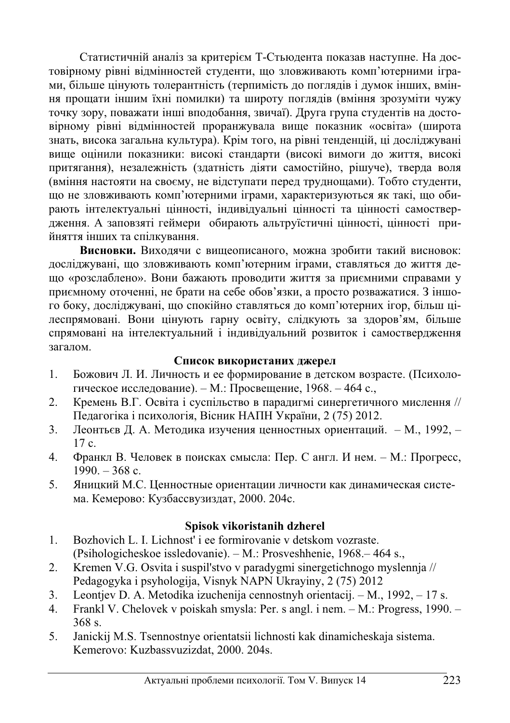Статистичній аналіз за критерієм Т-Стьюдента показав наступне. На достовірному рівні відмінностей студенти, що зловживають комп'ютерними іграми, більше цінують толерантність (терпимість до поглядів і думок інших, вміння прощати іншим їхні помилки) та широту поглядів (вміння зрозуміти чужу точку зору, поважати інші вподобання, звичаї). Друга група студентів на достовірному рівні відмінностей проранжувала вище показник «освіта» (широта знать, висока загальна культура). Крім того, на рівні тенденцій, ці досліджувані вище оцінили показники: високі стандарти (високі вимоги до життя, високі притягання), незалежність (здатність діяти самостійно, рішуче), тверда воля (вміння настояти на своєму, не відступати перед труднощами). Тобто студенти, що не зловживають комп'ютерними іграми, характеризуються як такі, що обирають інтелектуальні цінності, індивідуальні цінності та цінності самоствердження. А заповзяті геймери обирають альтруїстичні цінності, цінності прийняття інших та спілкування.

Висновки. Виходячи с вищеописаного, можна зробити такий висновок: досліджувані, що зловживають комп'ютерним іграми, ставляться до життя дещо «розслаблено». Вони бажають проводити життя за приємними справами у приємному оточенні, не брати на себе обов'язки, а просто розважатися. З іншого боку, досліджувані, що спокійно ставляться до комп'ютерних ігор, більш цілеспрямовані. Вони цінують гарну освіту, слідкують за здоров'ям, більше спрямовані на інтелектуальний і індивідуальний розвиток і самоствердження загалом.

### Список використаних джерел

- 1. Божович Л. И. Личность и ее формирование в детском возрасте. (Психологическое исследование). – М.: Просвещение, 1968. – 464 с.,
- 2. Кремень В.Г. Освіта і суспільство в парадигмі синергетичного мислення // Педагогіка і психологія, Вісник НАПН України, 2 (75) 2012.
- 3. Леонтьєв Д. А. Методика изучения ценностных ориентаций. М., 1992,  $17c.$
- 4. Франкл В. Человек в поисках смысла: Пер. С англ. И нем. М.: Прогресс,  $1990. - 368$  c.
- 5. Яницкий М.С. Ценностные ориентации личности как динамическая система. Кемерово: Кузбассвузиздат, 2000. 204с.

### **Spisok vikoristanih dzherel**

- 1. Bozhovich L. I. Lichnost' i ee formirovanie v detskom vozraste. (Psihologicheskoe issledovanie). – M.: Prosveshhenie, 1968.– 464 s.,
- 2. Kremen V.G. Osvita i suspil'stvo v paradygmi sinergetichnogo myslennja // Pedagogyka i psyhologija, Visnyk NAPN Ukrayiny, 2 (75) 2012
- 3. Leontjev D. A. Metodika izuchenija cennostnyh orientacij. M., 1992, 17 s.
- 4. Frankl V. Chelovek v poiskah smysla: Per. s angl. i nem. M.: Progress, 1990. 368 s.
- 5. Janickij M.S. Tsennostnye orientatsii lichnosti kak dinamicheskaja sistema. Kemerovo: Kuzbassvuzizdat, 2000. 204s.